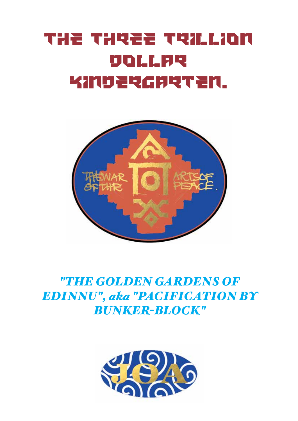# THE THREE TRILLION DOLLAR KINDERGARTEN.



*"THE GOLDEN GARDENS OF EDINNU", aka "PACIFICATION BY BUNKER-BLOCK"*

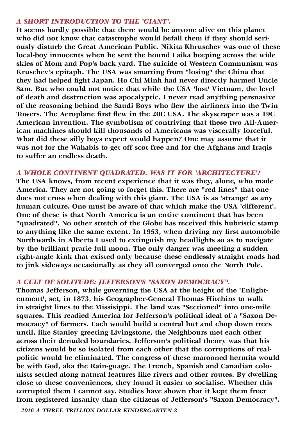#### *A SHORT INTRODUCTION TO THE 'GIANT'.*

**It seems hardly possible that there would be anyone alive on this planet who did not know that catastrophe would befall them if they should seriously disturb the Great American Public. Nikita Khruschev was one of these local-boy innocents when he sent the hound Laika beeping across the wide skies of Mom and Pop's back yard. The suicide of Western Communism was Kruschev's epitaph. The USA was smarting from "losing" the China that they had helped fight Japan. Ho Chi Minh had never directly harmed Uncle Sam. But who could not notice that while the USA 'lost' Vietnam, the level of death and destruction was apocalyptic. I never read anything persuasive of the reasoning behind the Saudi Boys who flew the airliners into the Twin Towers. The Aeroplane first flew in the 20C USA. The skyscraper was a 19C American invention. The symbolism of contriving that these two All-American machines should kill thousands of Americans was viscerally forceful. What did these silly boys expect would happen? One may assume that it was not for the Wahabis to get off scot free and for the Afghans and Iraqis to suffer an endless death.**

# *A WHOLE CONTINENT QUADRATED. WAS IT FOR 'ARCHITECTURE'?*

**The USA knows, from recent experience that it was they, alone, who made America. They are not going to forget this. There are "red lines" that one does not cross when dealing with this giant. The USA is as 'strange' as any human culture. One must be aware of that which make the USA 'different'. One of these is that North America is an entire continent that has been "quadrated". No other stretch of the Globe has received this hubristic stamp to anything like the same extent. In 1953, when driving my first automobile Northwards in Alberta I used to extinguish my headlights so as to navigate by the brilliant prarie full moon. The only danger was meeting a sudden right-angle kink that existed only because these endlessly straight roads had to jink sideways occasionally as they all converged onto the North Pole.**

# *A CULT OF SOLITUDE: JEFFERSON'S "SAXON DEMOCRACY".*

**Thomas Jefferson, while governing the USA at the height of the 'Enlightenment', set, in 1873, his Geographer-General Thomas Hitchins to walk in straight lines to the Missisippi. The land was "Sectioned" into one-mile squares. This readied America for Jefferson's political ideal of a "Saxon Democracy" of farmers. Each would build a central hut and chop down trees until, like Stanley greeting Livingstone, the Neighbours met each other across their denuded boundaries. Jefferson's political theory was that his citizens would be so isolated from each other that the corruptions of realpolitic would be eliminated. The congress of these marooned hermits would be with God, aka the Rain-guage. The French, Spanish and Canadian colonists settled along natural features like rivers and other routes. By dwelling close to these conveniences, they found it easier to socialise. Whether this corrupted them I cannot say. Studies have shown that it kept them freer from registered insanity than the citizens of Jefferson's "Saxon Democracy".** 

*2016 A THREE TRILLION DOLLAR KINDERGARTEN-2*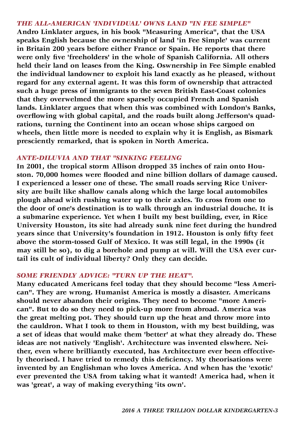#### *THE ALL-AMERICAN 'INDIVIDUAL' OWNS LAND "IN FEE SIMPLE"*

**Andro Linklater argues, in his book "Measuring America", that the USA speaks English because the ownership of land 'in Fee Simple' was current in Britain 200 years before either France or Spain. He reports that there were only five 'freeholders' in the whole of Spanish California. All others held their land on leases from the King. Oswnership in Fee Simple enabled the individual landowner to exploit his land exactly as he pleased, without regard for any external agent. It was this form of ownership that attracted such a huge press of immigrants to the seven British East-Coast colonies that they overwelmed the more sparsely occupied French and Spanish lands. Linklater argues that when this was combined with London's Banks, overflowing with global capital, and the roads built along Jefferson's quadrations, turning the Continent into an ocean whose ships cargoed on wheels, then little more is needed to explain why it is English, as Bismark presciently remarked, that is spoken in North America.**

#### *ANTE-DILUVIA AND THAT "SINKING FEELING*

**In 2001, the tropical storm Allison dropped 35 inches of rain onto Houston. 70,000 homes were flooded and nine billion dollars of damage caused. I experienced a lesser one of these. The small roads serving Rice University are built like shallow canals along which the large local automobiles plough ahead with rushing water up to their axles. To cross from one to the door of one's destination is to walk through an industrial douche. It is a submarine experience. Yet when I built my best building, ever, in Rice University Houston, its site had already sunk nine feet during the hundred years since that University's foundation in 1912. Houston is only fifty feet above the storm-tossed Gulf of Mexico. It was still legal, in the 1990s (it may still be so), to dig a borehole and pump at will. Will the USA ever curtail its cult of individual liberty? Only they can decide.**

## *SOME FRIENDLY ADVICE: "TURN UP THE HEAT".*

**Many educated Americans feel today that they should become "less American". They are wrong. Humanist America is mostly a disaster. Americans should never abandon their origins. They need to become "more American". But to do so they need to pick-up more from abroad. America was the great melting pot. They should turn up the heat and throw more into the cauldron. What I took to them in Houston, with my best building, was a set of ideas that would make them 'better' at what they already do. These ideas are not natively 'English'. Architecture was invented elswhere. Neither, even where brilliantly executed, has Architecture ever been effectively theorised. I have tried to remedy this deficiency. My theorisations were invented by an Englishman who loves America. And when has the 'exotic' ever prevented the USA from taking what it wanted! America had, when it was 'great', a way of making everything 'its own'.**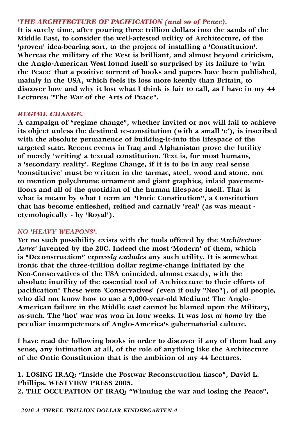# *'THE ARCHITECTURE OF PACIFICATION (and so of Peace).*

**It is surely time, after pouring three trillion dollars into the sands of the Middle East, to consider the well-attested utility of Architecture, of the 'proven' idea-bearing sort, to the project of installing a 'Constitution'. Whereas the military of the West is brilliant, and almost beyond criticism, the Anglo-American West found itself so surprised by its failure to 'win the Peace' that a positive torrent of books and papers have been published, mainly in the USA, which feels its loss more keenly than Britain, to discover how and why it lost what I think is fair to call, as I have in my 44 Lectures: "The War of the Arts of Peace".**

## *REGIME CHANGE.*

**A campaign of "regime change", whether invited or not will fail to achieve its object unless the destined re-constitution (with a small 'c'), is inscribed with the absolute permanence of building-it-into the lifespace of the targeted state. Recent events in Iraq and Afghanistan prove the futility of merely 'writing' a textual constitution. Text is, for most humans, a 'secondary reality'. Regime Change, if it is to be in any real sense 'constitutive' must be written in the tarmac, steel, wood and stone, not to mention polychrome ornament and giant graphics, inlaid pavementfloors and all of the quotidian of the human lifespace itself. That is what is meant by what I term an "Ontic Constitution", a Constitution that has become enfleshed, reified and carnally 'real' (as was meant etymologically - by 'Royal').**

# *NO 'HEAVY WEAPONS'.*

**Yet no such possibility exists with the tools offered by the** *'Architecture Autre'* **invented by the 20C. Indeed the most 'Modern' of them, which is "Deconstruction"** *expressly excludes* **any such utility. It is somewhat ironic that the three-trillion dollar regime-change initiated by the Neo-Conservatives of the USA coincided, almost exactly, with the absolute inutility of the essential tool of Architecture to their efforts of pacification! These were 'Conservatives' (even if only "Neo"), of all people, who did not know how to use a 9,000-year-old Medium! The Anglo-American failure in the Middle east cannot be blamed upon the Military, as-such. The 'hot' war was won in four weeks. It was lost** *at home* **by the peculiar incompetences of Anglo-America's gubernatorial culture.**

**I have read the following books in order to discover if any of them had any sense, any intimation at all, of the role of anything like the Architecture of the Ontic Constitution that is the ambition of my 44 Lectures.** 

**1. LOSING IRAQ: "Inside the Postwar Reconstruction fiasco", David L. Phillips. WESTVIEW PRESS 2005.**

**2. THE OCCUPATION OF IRAQ: "Winning the war and losing the Peace",**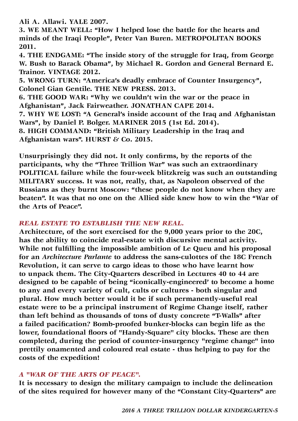**Ali A. Allawi. YALE 2007.**

**3. WE MEANT WELL: "How I helped lose the battle for the hearts and minds of the Iraqi People", Peter Van Buren. METROPOLITAN BOOKS 2011.**

**4. THE ENDGAME: "The inside story of the struggle for Iraq, from George W. Bush to Barack Obama", by Michael R. Gordon and General Bernard E. Trainor. VINTAGE 2012.**

**5. WRONG TURN: "America's deadly embrace of Counter Insurgency", Colonel Gian Gentile. THE NEW PRESS. 2013.**

**6. THE GOOD WAR: "Why we couldn't win the war or the peace in Afghanistan", Jack Fairweather. JONATHAN CAPE 2014.**

**7. WHY WE LOST: "A General's inside account of the Iraq and Afghanistan Wars", by Daniel P. Bolger. MARINER 2015 (1st Ed. 2014).**

**8. HIGH COMMAND: "British Military Leadership in the Iraq and Afghanistan wars". HURST & Co. 2015.**

**Unsurprisingly they did not. It only confirms, by the reports of the participants, why the "Three Trillion War" was such an extraordinary POLITICAL failure while the four-week blitzkreig was such an outstanding MILITARY success. It was not, really, that, as Napoleon observed of the Russians as they burnt Moscow: "these people do not know when they are beaten". It was that no one on the Allied side knew how to win the "War of the Arts of Peace".**

# *REAL ESTATE TO ESTABLISH THE NEW REAL.*

**Architecture, of the sort exercised for the 9,000 years prior to the 20C, has the ability to coincide real-estate with discursive mental activity. While not fulfilling the impossible ambition of Le Queu and his proposal for an** *Architecture Parlante* **to address the sans-culottes of the 18C French Revolution, it can serve to cargo ideas to those who have learnt how to unpack them. The City-Quarters described in Lectures 40 to 44 are designed to be capable of being "iconically-engineered' to become a home to any and every variety of cult, cults or cultures - both singular and plural. How much better would it be if such permanently-useful real estate were to be a principal instrument of Regime Change itself, rather than left behind as thousands of tons of dusty concrete "T-Walls" after a failed pacification? Bomb-proofed bunker-blocks can begin life as the lower, foundational floors of "Handy-Square" city blocks. These are then completed, during the period of counter-insurgency "regime change" into prettily onamented and coloured real estate - thus helping to pay for the costs of the expedition!**

# *A "WAR OF THE ARTS OF PEACE".*

**It is necessary to design the military campaign to include the delineation of the sites required for however many of the "Constant City-Quarters" are**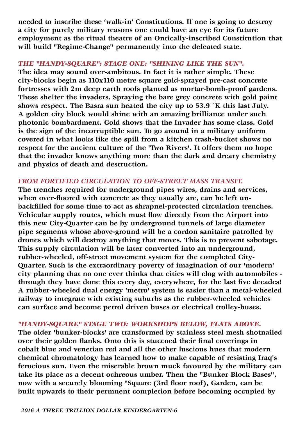**needed to inscribe these 'walk-in' Constitutions. If one is going to destroy a city for purely military reasons one could have an eye for its future employment as the ritual theatre of an Ontically-inscribed Constitution that will build "Regime-Change" permanently into the defeated state.**

# *THE "HANDY-SQUARE": STAGE ONE: "SHINING LIKE THE SUN".*

**The idea may sound over-ambitous. In fact it is rather simple. These city-blocks begin as 110x110 metre square gold-sprayed pre-cast concrete fortresses with 2m deep earth roofs planted as mortar-bomb-proof gardens. These shelter the invaders. Spraying the bare grey concrete with gold paint shows respect. The Basra sun heated the city up to 53.9 ˚K this last July. A golden city block would shine with an amazing brilliance under such photonic bombardment. Gold shows that the Invader has some class. Gold is the sign of the incorruptible sun. To go around in a military uniform covered in what looks like the spill from a kitchen trash-bucket shows no respect for the ancient culture of the 'Two Rivers'. It offers them no hope that the invader knows anything more than the dark and dreary chemistry and physics of death and destruction.**

# *FROM FORTIFIED CIRCULATION TO OFF-STREET MASS TRANSIT.*

**The trenches required for underground pipes wires, drains and services, when over-floored with concrete as they usually are, can be left unbackfilled for some time to act as shrapnel-protected circulation trenches. Vehicular supply routes, which must flow directly from the Airport into this new City-Quarter can be by underground tunnels of large diameter pipe segments whose above-ground will be a cordon sanitaire patrolled by drones which will destroy anything that moves. This is to prevent sabotage. This supply circulation will be later converted into an underground, rubber-wheeled, off-street movement system for the completed City-Quarter. Such is the extraordinary poverty of imagination of our 'modern' city planning that no one ever thinks that cities will clog with automobiles through they have done this every day, everywhere, for the last five decades! A rubber-wheeled dual energy 'metro' system is easier than a metal-wheeled railway to integrate with existing suburbs as the rubber-wheeled vehicles can surface and become petrol driven buses or electrical trolley-buses.**

# *"HANDY-SQUARE" STAGE TWO: WORKSHOPS BELOW, FLATS ABOVE.*

**The older 'bunker-blocks' are transformed by stainless steel mesh shotnailed over their golden flanks. Onto this is stuccoed their final coverings in cobalt blue and venetian red and all the other luscious hues that modern chemical chromatology has learned how to make capable of resisting Iraq's ferocious sun. Even the miserable brown muck favoured by the military can take its place as a decent ochreous umber. Then the "Bunker Block Bases", now with a securely blooming "Square (3rd floor roof), Garden, can be built upwards to their permnent completion before becoming occupied by**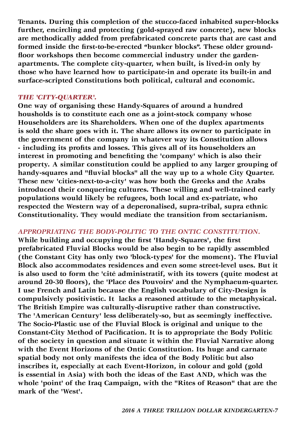**Tenants. During this completion of the stucco-faced inhabited super-blocks further, encircling and protecting (gold-sprayed raw concrete), new blocks are methodically added from prefabricated concrete parts that are cast and formed inside the first-to-be-erected "bunker blocks". These older groundfloor workshops then become commercial industry under the gardenapartments. The complete city-quarter, when built, is lived-in only by those who have learned how to participate-in and operate its built-in and surface-scripted Constitutions both political, cultural and economic.** 

#### *THE 'CITY-QUARTER'.*

**One way of organising these Handy-Squares of around a hundred housholds is to constitute each one as a joint-stock company whose Householders are its Shareholders. When one of the duplex apartments is sold the share goes with it. The share allows its owner to participate in the government of the company in whatever way its Constitution allows - including its profits and losses. This gives all of its householders an interest in promoting and benefiting the 'company' which is also their property. A similar constitution could be applied to any larger grouping of handy-squares and "fluvial blocks" all the way up to a whole City Quarter. These new 'cities-next-to-a-city' was how both the Greeks and the Arabs introduced their conquering cultures. These willing and well-trained early populations would likely be refugees, both local and ex-patriate, who respected the Western way of a deperonalised, supra-tribal, supra ethnic Constitutionality. They would mediate the transition from sectarianism.**

# *APPROPRIATING THE BODY-POLITIC TO THE ONTIC CONSTITUTION.*

**While building and occupying the first 'Handy-Squares', the first prefabricated Fluvial Blocks would be also begin to be rapidly assembled (the Constant City has only two 'block-types' for the moment). The Fluvial Block also accommodates residences and even some street-level uses. But it is also used to form the 'cité administratif, with its towers (quite modest at around 20-30 floors), the 'Place des Pouvoirs' and the Nymphaeum-quarter. I use French and Latin because the English vocabulary of City-Design is compulsively positivistic. It lacks a reasoned attitude to the metaphysical. The British Empire was culturally-disruptive rather than constructive. The 'American Century' less deliberately-so, but as seemingly ineffective. The Socio-Plastic use of the Fluvial Block is original and unique to the Constant-City Method of Pacification. It is to appropriate the Body Politic of the society in question and situate it within the Fluvial Narrative along with the Event Horizons of the Ontic Constitution. Its huge and carnate spatial body not only manifests the idea of the Body Politic but also inscribes it, especially at each Event-Horizon, in colour and gold (gold is essential in Asia) with both the ideas of the East AND, which was the whole 'point' of the Iraq Campaign, with the "Rites of Reason" that are the mark of the 'West'.**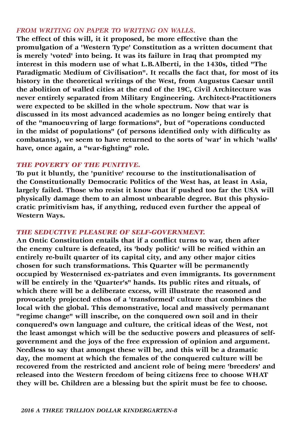# *FROM WRITING ON PAPER TO WRITING ON WALLS.*

**The effect of this will, it it proposed, be more effective than the promulgation of a 'Western Type' Constitution as a written document that is merely 'voted' into being. It was its failure in Iraq that prompted my interest in this modern use of what L.B.Alberti, in the 1430s, titled "The Paradigmatic Medium of Civilisation". It recalls the fact that, for most of its history in the theoretical writings of the West, from Augustus Caesar until the abolition of walled cities at the end of the 19C, Civil Architecture was never entirely separated from Military Engineering. Architect-Practitioners were expected to be skilled in the whole spectrum. Now that war is discussed in its most advanced academies as no longer being entirely that of the "manoeuvring of large formations", but of "operations conducted in the midst of populations" (of persons identified only with difficulty as combatants), we seem to have returned to the sorts of 'war' in which 'walls' have, once again, a "war-fighting" role.** 

## *THE POVERTY OF THE PUNITIVE.*

**To put it bluntly, the 'punitive' recourse to the institutionalisation of the Constitutionally Democratic Politics of the West has, at least in Asia, largely failed. Those who resist it know that if pushed too far the USA will physically damage them to an almost unbearable degree. But this physiocratic primitivism has, if anything, reduced even further the appeal of Western Ways.** 

# *THE SEDUCTIVE PLEASURE OF SELF-GOVERNMENT.*

**An Ontic Constitution entails that if a conflict turns to war, then after the enemy culture is defeated, its 'body politic' will be reified within an entirely re-built quarter of its capital city, and any other major cities chosen for such transformations. This Quarter will be permanently occupied by Westernised ex-patriates and even immigrants. Its government will be entirely in the 'Quarter's" hands. Its public rites and rituals, of which there will be a deliberate excess, will illustrate the reasoned and provocately projected ethos of a 'transformed' culture that combines the local with the global. This demonstrative, local and massively permanant "regime change" will inscribe, on the conquered own soil and in their conquered's own language and culture, the critical ideas of the West, not the least amongst which will be the seductive powers and pleasures of selfgovernment and the joys of the free expression of opinion and argument. Needless to say that amongst these will be, and this will be a dramatic day, the moment at which the females of the conquered culture will be recovered from the restricted and ancient role of being mere 'breeders' and released into the Western freedom of being citizens free to choose WHAT they will be. Children are a blessing but the spirit must be fee to choose.**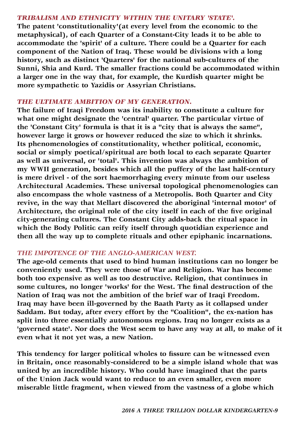#### *TRIBALISM AND ETHNICITY WITHIN THE UNITARY 'STATE'.*

**The patent 'constitutionality'(at every level from the economic to the metaphysical), of each Quarter of a Constant-City leads it to be able to accommodate the 'spirit' of a culture. There could be a Quarter for each component of the Nation of Iraq. These would be divisions with a long history, such as distinct 'Quarters' for the national sub-cultures of the Sunni, Shia and Kurd. The smaller fractions could be accommodated within a larger one in the way that, for example, the Kurdish quarter might be more sympathetic to Yazidis or Assyrian Christians.**

# *THE ULTIMATE AMBITION OF MY GENERATION.*

**The failure of Iraqi Freedom was its inability to constitute a culture for what one might designate the 'central' quarter. The particular virtue of the 'Constant City' formula is that it is a "city that is always the same", however large it grows or however reduced the size to which it shrinks. Its phenomenologies of constitutionality, whether political, economic, social or simply poetical/spiritual are both local to each separate Quarter as well as universal, or 'total'. This invention was always the ambition of my WWII generation, besides which all the puffery of the last half-century is mere drivel - of the sort haemorrhaging every minute from our useless Architectural Academies. These universal topological phenomenologies can also encompass the whole vastness of a Metropolis. Both Quarter and City revive, in the way that Mellart discovered the aboriginal 'internal motor' of Architecture, the original role of the city itself in each of the five original city-generating cultures. The Constant City adds-back the ritual space in which the Body Politic can reify itself through quotidian experience and then all the way up to complete rituals and other epiphanic incarnations.**

# *THE IMPOTENCE OF THE ANGLO-AMERICAN WEST.*

**The age-old cements that used to bind human institutions can no longer be conveniently used. They were those of War and Religion. War has become both too expensive as well as too destructive. Religion, that continues in some cultures, no longer 'works' for the West. The final destruction of the Nation of Iraq was not the ambition of the brief war of Iraqi Freedom. Iraq may have been ill-governed by the Baath Party as it collapsed under Saddam. But today, after every effort by the "Coalition", the ex-nation has split into three essentially autonomous regions. Iraq no longer exists as a 'governed state'. Nor does the West seem to have any way at all, to make of it even what it not yet was, a new Nation.** 

**This tendency for larger political wholes to fissure can be witnessed even in Britain, once reasonably-considered to be a simple island whole that was united by an incredible history. Who could have imagined that the parts of the Union Jack would want to reduce to an even smaller, even more miserable little fragment, when viewed from the vastness of a globe which**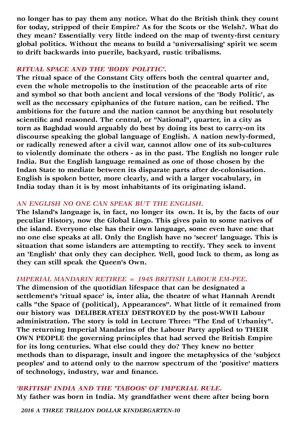**no longer has to pay them any notice. What do the British think they count for today, stripped of their Empire? As for the Scots or the Welsh?. What do they mean? Essentially very little indeed on the map of twenty-first century global politics. Without the means to build a 'universalising' spirit we seem to drift backwards into puerile, backyard, rustic tribalisms.**

#### *RITUAL SPACE AND THE 'BODY POLITIC'.*

**The ritual space of the Constant City offers both the central quarter and, even the whole metropolis to the institution of the peaceable arts of rite and symbol so that both ancient and local versions of the 'Body Politic', as well as the necessary epiphanies of the future nation, can be reified. The ambitions for the future and the nation cannot be anything but resolutely scientific and reasoned. The central, or "National", quarter, in a city as torn as Baghdad would arguably do best by doing its best to carry-on its discourse speaking the global language of English. A nation newly-formed, or radically renewed after a civil war, cannot allow one of its sub-cultures to violently dominate the others - as in the past. The English no longer rule India. But the English language remained as one of those chosen by the Indan State to mediate between its disparate parts after de-colonisation. English is spoken better, more clearly, and with a larger vocabulary, in India today than it is by most inhabitants of its originating island.** 

## *AN ENGLISH NO ONE CAN SPEAK BUT THE ENGLISH.*

**The Island's language is, in fact, no longer its own. It is, by the facts of our peculiar History, now the Global Lingo. This gives pain to some natives of the island. Everyone else has their own language, some even have one that no one else speaks at all. Only the English have no 'secret' language. This is situation that some islanders are attempting to rectify. They seek to invent an 'English' that only they can decipher. Well, good luck to them, as long as they can still speak the Queen's Own.**

## *IMPERIAL MANDARIN RETIREE = 1945 BRITISH LABOUR EM-PEE.*

**The dimension of the quotidian lifespace that can be designated a settlement's 'ritual space' is, inter alia, the theatre of what Hannah Arendt calls "the Space of (political), Appearances". What little of it remained from our history was DELIBERATELY DESTROYED by the post-WWII Labour administration. The story is told in Lecture Three: "The End of Urbanity". The returning Imperial Mandarins of the Labour Party applied to THEIR OWN PEOPLE the governing principles that had served the British Empire for its long centuries. What else could they do? They knew no better methods than to disparage, insult and ingore the metaphysics of the 'subject peoples' and to attend only to the narrow spectrum of the 'positive' matters of technology, industry, war and finance.**

## *'BRITISH' INDIA AND THE 'TABOOS' OF IMPERIAL RULE.*

**My father was born in India. My grandfather went there after being born**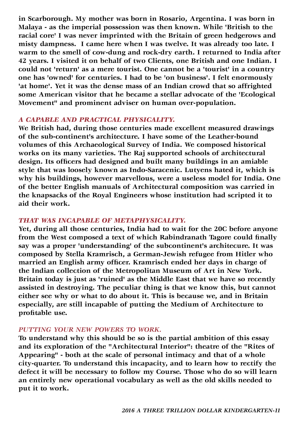**in Scarborough. My mother was born in Rosario, Argentina. I was born in Malaya - as the imperial possession was then known. While 'British to the racial core' I was never imprinted with the Britain of green hedgerows and misty dampness. I came here when I was twelve. It was already too late. I warm to the smell of cow-dung and rock-dry earth. I returned to India after 42 years. I visited it on behalf of two Clients, one British and one Indian. I could not 'return' as a mere tourist. One cannot be a 'tourist' in a country one has 'owned' for centuries. I had to be 'on business'. I felt enormously 'at home'. Yet it was the dense mass of an Indian crowd that so affrighted some American visitor that he became a stellar advocate of the 'Ecological Movement" and prominent adviser on human over-population.**

#### *A CAPABLE AND PRACTICAL PHYSICALITY.*

**We British had, during those centuries made excellent measured drawings of the sub-continent's architecture. I have some of the Leather-bound volumes of this Archaeological Survey of India. We composed historical works on its many varieties. The Raj supported schools of architectural design. Its officers had designed and built many buildings in an amiable style that was loosely known as Indo-Saracenic. Lutyens hated it, which is why his buildings, however marvellous, were a useless model for India. One of the better English manuals of Architectural composition was carried in the knapsacks of the Royal Engineers whose institution had scripted it to aid their work.**

## *THAT WAS INCAPABLE OF METAPHYSICALITY.*

**Yet, during all those centuries, India had to wait for the 20C before anyone from the West composed a text of which Rabindranath Tagore could finally say was a proper 'understanding' of the subcontinent's architecure. It was composed by Stella Kramrisch, a German-Jewish refugee from Hitler who married an English army officer. Kramrisch ended her days in charge of the Indian collection of the Metropolitan Museum of Art in New York. Britain today is just as 'ruined' as the Middle East that we have so recently assisted in destroying. The peculiar thing is that we know this, but cannot either see why or what to do about it. This is because we, and in Britain especially, are still incapable of putting the Medium of Architecture to profitable use.** 

## *PUTTING YOUR NEW POWERS TO WORK.*

**To understand why this should be so is the partial ambition of this essay and its exploration of the "Architectural Interior": theatre of the "Rites of Appearing" - both at the scale of personal intimacy and that of a whole city-quarter. To understand this incapacity, and to learn how to rectify the defect it will be necessary to follow my Course. Those who do so will learn an entirely new operational vocabulary as well as the old skills needed to put it to work.**